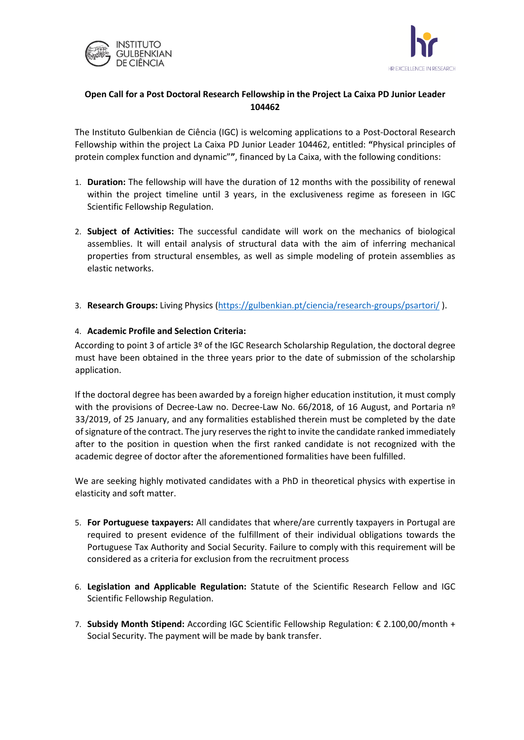



## **Open Call for a Post Doctoral Research Fellowship in the Project La Caixa PD Junior Leader 104462**

The Instituto Gulbenkian de Ciência (IGC) is welcoming applications to a Post-Doctoral Research Fellowship within the project La Caixa PD Junior Leader 104462, entitled: **"**Physical principles of protein complex function and dynamic"**"**, financed by La Caixa, with the following conditions:

- 1. **Duration:** The fellowship will have the duration of 12 months with the possibility of renewal within the project timeline until 3 years, in the exclusiveness regime as foreseen in IGC Scientific Fellowship Regulation.
- 2. **Subject of Activities:** The successful candidate will work on the mechanics of biological assemblies. It will entail analysis of structural data with the aim of inferring mechanical properties from structural ensembles, as well as simple modeling of protein assemblies as elastic networks.
- 3. **Research Groups:** Living Physics [\(https://gulbenkian.pt/ciencia/research-groups/psartori/](https://gulbenkian.pt/ciencia/research-groups/psartori/) ).

## 4. **Academic Profile and Selection Criteria:**

According to point 3 of article 3º of the IGC Research Scholarship Regulation, the doctoral degree must have been obtained in the three years prior to the date of submission of the scholarship application.

If the doctoral degree has been awarded by a foreign higher education institution, it must comply with the provisions of Decree-Law no. Decree-Law No. 66/2018, of 16 August, and Portaria nº 33/2019, of 25 January, and any formalities established therein must be completed by the date of signature of the contract. The jury reserves the right to invite the candidate ranked immediately after to the position in question when the first ranked candidate is not recognized with the academic degree of doctor after the aforementioned formalities have been fulfilled.

We are seeking highly motivated candidates with a PhD in theoretical physics with expertise in elasticity and soft matter.

- 5. **For Portuguese taxpayers:** All candidates that where/are currently taxpayers in Portugal are required to present evidence of the fulfillment of their individual obligations towards the Portuguese Tax Authority and Social Security. Failure to comply with this requirement will be considered as a criteria for exclusion from the recruitment process
- 6. **Legislation and Applicable Regulation:** Statute of the Scientific Research Fellow and IGC Scientific Fellowship Regulation.
- 7. **Subsidy Month Stipend:** According IGC Scientific Fellowship Regulation: € 2.100,00/month + Social Security. The payment will be made by bank transfer.